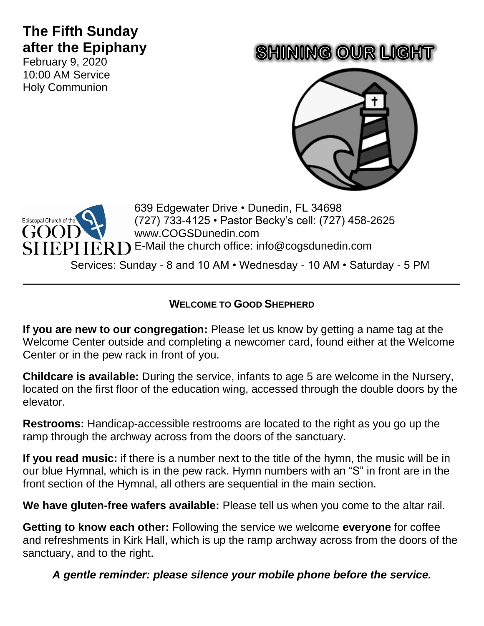# **The Fifth Sunday after the Epiphany**

February 9, 2020 10:00 AM Service Holy Communion

# **SHINING OUR LIGHT**





639 Edgewater Drive • Dunedin, FL 34698 (727) 733-4125 • Pastor Becky's cell: (727) 458-2625 www.COGSDunedin.com  $H\widehat{R}D$  E-Mail the church office: info@cogsdunedin.com

Services: Sunday - 8 and 10 AM • Wednesday - 10 AM • Saturday - 5 PM

# **WELCOME TO GOOD SHEPHERD**

**If you are new to our congregation:** Please let us know by getting a name tag at the Welcome Center outside and completing a newcomer card, found either at the Welcome Center or in the pew rack in front of you.

**Childcare is available:** During the service, infants to age 5 are welcome in the Nursery, located on the first floor of the education wing, accessed through the double doors by the elevator.

**Restrooms:** Handicap-accessible restrooms are located to the right as you go up the ramp through the archway across from the doors of the sanctuary.

**If you read music:** if there is a number next to the title of the hymn, the music will be in our blue Hymnal, which is in the pew rack. Hymn numbers with an "S" in front are in the front section of the Hymnal, all others are sequential in the main section.

**We have gluten-free wafers available:** Please tell us when you come to the altar rail.

**Getting to know each other:** Following the service we welcome **everyone** for coffee and refreshments in Kirk Hall, which is up the ramp archway across from the doors of the sanctuary, and to the right.

*A gentle reminder: please silence your mobile phone before the service.*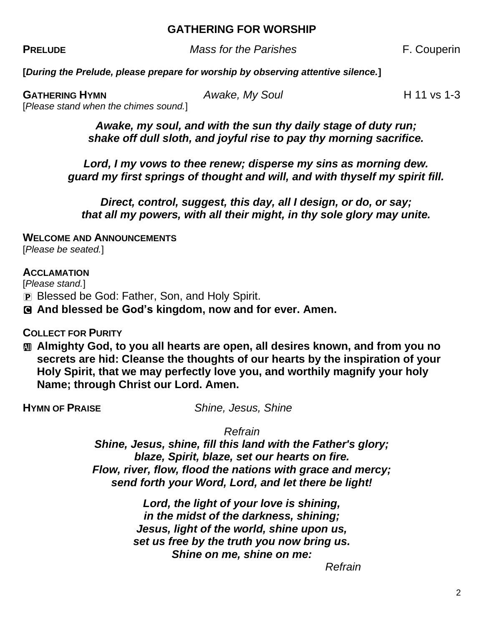#### **GATHERING FOR WORSHIP**

**PRELUDE** *Mass for the Parishes* F. Couperin

**[***During the Prelude, please prepare for worship by observing attentive silence.***]**

**GATHERING HYMN Awake, My Soul H** 11 vs 1-3

[*Please stand when the chimes sound.*]

*Awake, my soul, and with the sun thy daily stage of duty run; shake off dull sloth, and joyful rise to pay thy morning sacrifice.*

*Lord, I my vows to thee renew; disperse my sins as morning dew. guard my first springs of thought and will, and with thyself my spirit fill.*

*Direct, control, suggest, this day, all I design, or do, or say; that all my powers, with all their might, in thy sole glory may unite.*

#### **WELCOME AND ANNOUNCEMENTS**

[*Please be seated.*]

#### **ACCLAMATION**

[*Please stand.*]

P Blessed be God: Father, Son, and Holy Spirit.

C **And blessed be God's kingdom, now and for ever. Amen.**

**COLLECT FOR PURITY**

**EXP Almighty God, to you all hearts are open, all desires known, and from you no secrets are hid: Cleanse the thoughts of our hearts by the inspiration of your Holy Spirit, that we may perfectly love you, and worthily magnify your holy Name; through Christ our Lord. Amen.**

**HYMN OF PRAISE** *Shine, Jesus, Shine*

*Refrain*

*Shine, Jesus, shine, fill this land with the Father's glory; blaze, Spirit, blaze, set our hearts on fire. Flow, river, flow, flood the nations with grace and mercy; send forth your Word, Lord, and let there be light!*

> *Lord, the light of your love is shining, in the midst of the darkness, shining; Jesus, light of the world, shine upon us, set us free by the truth you now bring us. Shine on me, shine on me:*

> > *Refrain*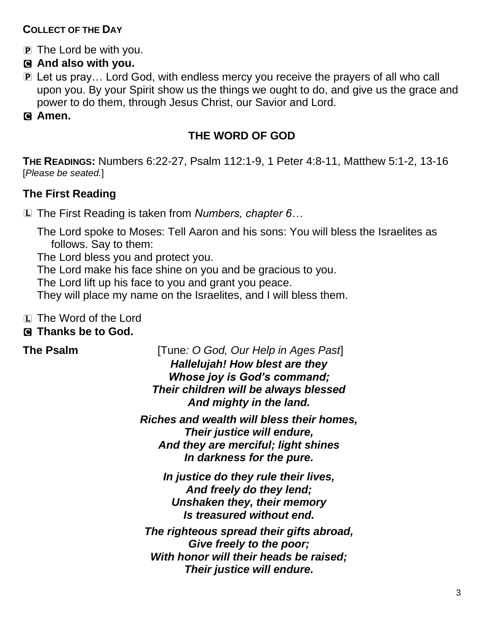# **COLLECT OF THE DAY**

- P The Lord be with you.
- C **And also with you.**
- P Let us pray… Lord God, with endless mercy you receive the prayers of all who call upon you. By your Spirit show us the things we ought to do, and give us the grace and power to do them, through Jesus Christ, our Savior and Lord.
- C **Amen.**

# **THE WORD OF GOD**

**THE READINGS:** Numbers 6:22-27, Psalm 112:1-9, 1 Peter 4:8-11, Matthew 5:1-2, 13-16 [*Please be seated.*]

# **The First Reading**

L The First Reading is taken from *Numbers, chapter 6…*

The Lord spoke to Moses: Tell Aaron and his sons: You will bless the Israelites as follows. Say to them:

The Lord bless you and protect you.

The Lord make his face shine on you and be gracious to you.

The Lord lift up his face to you and grant you peace.

They will place my name on the Israelites, and I will bless them.

- L The Word of the Lord
- C **Thanks be to God.**

**The Psalm** [Tune*: O God, Our Help in Ages Past*] *Hallelujah! How blest are they Whose joy is God's command; Their children will be always blessed And mighty in the land.*

> *Riches and wealth will bless their homes, Their justice will endure, And they are merciful; light shines In darkness for the pure.*

*In justice do they rule their lives, And freely do they lend; Unshaken they, their memory Is treasured without end.*

*The righteous spread their gifts abroad, Give freely to the poor; With honor will their heads be raised; Their justice will endure.*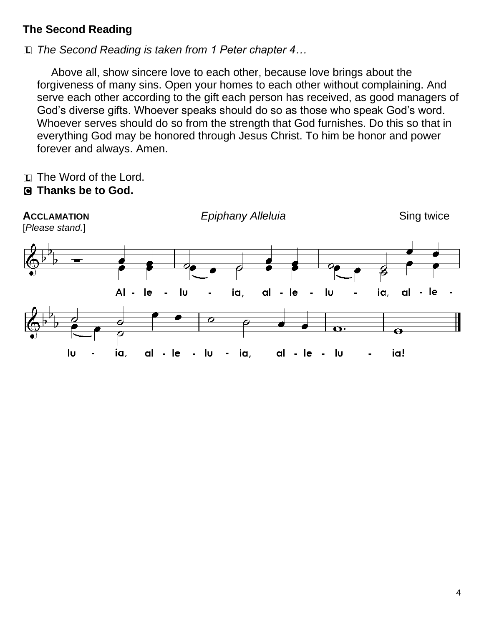# **The Second Reading**

L *The Second Reading is taken from 1 Peter chapter 4…*

Above all, show sincere love to each other, because love brings about the forgiveness of many sins. Open your homes to each other without complaining. And serve each other according to the gift each person has received, as good managers of God's diverse gifts. Whoever speaks should do so as those who speak God's word. Whoever serves should do so from the strength that God furnishes. Do this so that in everything God may be honored through Jesus Christ. To him be honor and power forever and always. Amen.

L The Word of the Lord.

# C **Thanks be to God.**

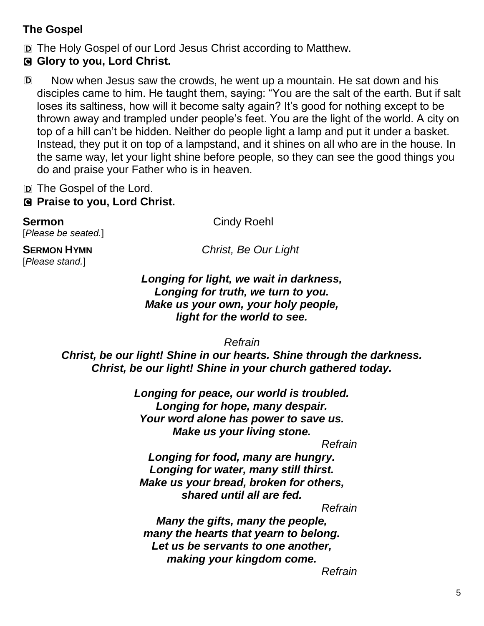# **The Gospel**

D The Holy Gospel of our Lord Jesus Christ according to Matthew.

# C **Glory to you, Lord Christ.**

- D Now when Jesus saw the crowds, he went up a mountain. He sat down and his disciples came to him. He taught them, saying: "You are the salt of the earth. But if salt loses its saltiness, how will it become salty again? It's good for nothing except to be thrown away and trampled under people's feet. You are the light of the world. A city on top of a hill can't be hidden. Neither do people light a lamp and put it under a basket. Instead, they put it on top of a lampstand, and it shines on all who are in the house. In the same way, let your light shine before people, so they can see the good things you do and praise your Father who is in heaven.
- D The Gospel of the Lord.
- C **Praise to you, Lord Christ.**

**Sermon** Cindy Roehl [*Please be seated.*]

[*Please stand.*]

**SERMON HYMN** *Christ, Be Our Light*

#### *Longing for light, we wait in darkness, Longing for truth, we turn to you. Make us your own, your holy people, light for the world to see.*

*Refrain*

*Christ, be our light! Shine in our hearts. Shine through the darkness. Christ, be our light! Shine in your church gathered today.* 

> *Longing for peace, our world is troubled. Longing for hope, many despair. Your word alone has power to save us. Make us your living stone.*

> > *Refrain*

*Longing for food, many are hungry. Longing for water, many still thirst. Make us your bread, broken for others, shared until all are fed.* 

*Refrain*

*Many the gifts, many the people, many the hearts that yearn to belong. Let us be servants to one another, making your kingdom come.*

*Refrain*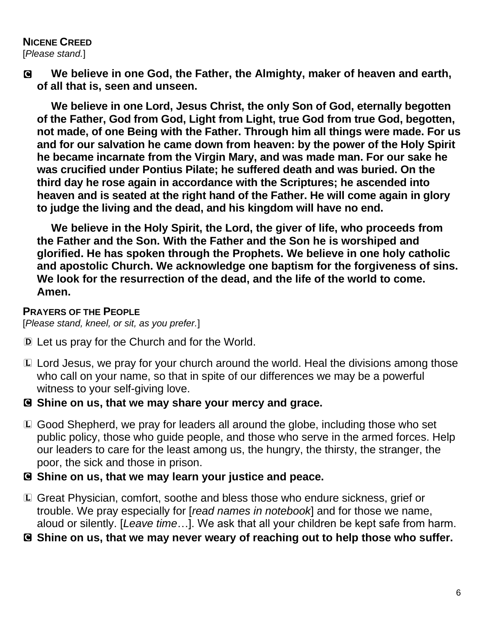# **NICENE CREED**

[*Please stand.*]

C **We believe in one God, the Father, the Almighty, maker of heaven and earth, of all that is, seen and unseen.**

**We believe in one Lord, Jesus Christ, the only Son of God, eternally begotten of the Father, God from God, Light from Light, true God from true God, begotten, not made, of one Being with the Father. Through him all things were made. For us and for our salvation he came down from heaven: by the power of the Holy Spirit he became incarnate from the Virgin Mary, and was made man. For our sake he was crucified under Pontius Pilate; he suffered death and was buried. On the third day he rose again in accordance with the Scriptures; he ascended into heaven and is seated at the right hand of the Father. He will come again in glory to judge the living and the dead, and his kingdom will have no end.**

**We believe in the Holy Spirit, the Lord, the giver of life, who proceeds from the Father and the Son. With the Father and the Son he is worshiped and glorified. He has spoken through the Prophets. We believe in one holy catholic and apostolic Church. We acknowledge one baptism for the forgiveness of sins. We look for the resurrection of the dead, and the life of the world to come. Amen.**

#### **PRAYERS OF THE PEOPLE**

[*Please stand, kneel, or sit, as you prefer.*]

- D Let us pray for the Church and for the World.
- L Lord Jesus, we pray for your church around the world. Heal the divisions among those who call on your name, so that in spite of our differences we may be a powerful witness to your self-giving love.
- C **Shine on us, that we may share your mercy and grace.**
- L Good Shepherd, we pray for leaders all around the globe, including those who set public policy, those who guide people, and those who serve in the armed forces. Help our leaders to care for the least among us, the hungry, the thirsty, the stranger, the poor, the sick and those in prison.
- C **Shine on us, that we may learn your justice and peace.**
- L Great Physician, comfort, soothe and bless those who endure sickness, grief or trouble. We pray especially for [*read names in notebook*] and for those we name, aloud or silently. [*Leave time*…]. We ask that all your children be kept safe from harm.
- C **Shine on us, that we may never weary of reaching out to help those who suffer.**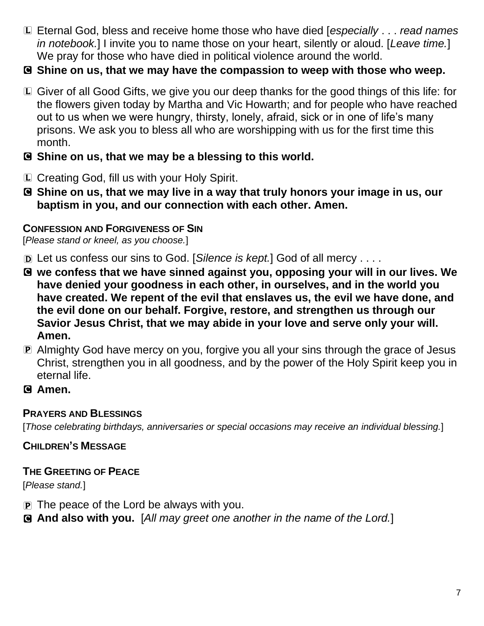- L Eternal God, bless and receive home those who have died [*especially* . . . *read names in notebook.*] I invite you to name those on your heart, silently or aloud. [*Leave time.*] We pray for those who have died in political violence around the world.
- C **Shine on us, that we may have the compassion to weep with those who weep.**
- L Giver of all Good Gifts, we give you our deep thanks for the good things of this life: for the flowers given today by Martha and Vic Howarth; and for people who have reached out to us when we were hungry, thirsty, lonely, afraid, sick or in one of life's many prisons. We ask you to bless all who are worshipping with us for the first time this month.
- C **Shine on us, that we may be a blessing to this world.**
- L Creating God, fill us with your Holy Spirit.
- C **Shine on us, that we may live in a way that truly honors your image in us, our baptism in you, and our connection with each other. Amen.**

# **CONFESSION AND FORGIVENESS OF SIN**

[*Please stand or kneel, as you choose.*]

- D Let us confess our sins to God. [*Silence is kept.*] God of all mercy . . . .
- C **we confess that we have sinned against you, opposing your will in our lives. We have denied your goodness in each other, in ourselves, and in the world you have created. We repent of the evil that enslaves us, the evil we have done, and the evil done on our behalf. Forgive, restore, and strengthen us through our Savior Jesus Christ, that we may abide in your love and serve only your will. Amen.**
- P Almighty God have mercy on you, forgive you all your sins through the grace of Jesus Christ, strengthen you in all goodness, and by the power of the Holy Spirit keep you in eternal life.
- C **Amen.**

# **PRAYERS AND BLESSINGS**

[*Those celebrating birthdays, anniversaries or special occasions may receive an individual blessing.*]

**CHILDREN'S MESSAGE**

# **THE GREETING OF PEACE**

[*Please stand.*]

- P The peace of the Lord be always with you.
- C **And also with you.** [*All may greet one another in the name of the Lord.*]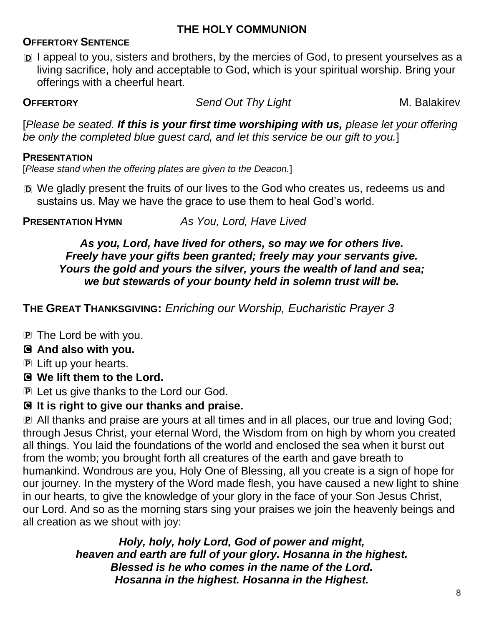# **THE HOLY COMMUNION**

# **OFFERTORY SENTENCE**

D I appeal to you, sisters and brothers, by the mercies of God, to present yourselves as a living sacrifice, holy and acceptable to God, which is your spiritual worship. Bring your offerings with a cheerful heart.

**OFFERTORY Send Out Thy Light** M. Balakirev

[*Please be seated. If this is your first time worshiping with us, please let your offering be only the completed blue guest card, and let this service be our gift to you.*]

#### **PRESENTATION**

[*Please stand when the offering plates are given to the Deacon.*]

D We gladly present the fruits of our lives to the God who creates us, redeems us and sustains us. May we have the grace to use them to heal God's world.

**PRESENTATION HYMN** *As You, Lord, Have Lived*

## *As you, Lord, have lived for others, so may we for others live. Freely have your gifts been granted; freely may your servants give. Yours the gold and yours the silver, yours the wealth of land and sea; we but stewards of your bounty held in solemn trust will be.*

**THE GREAT THANKSGIVING:** *Enriching our Worship, Eucharistic Prayer 3*

- P The Lord be with you.
- C **And also with you.**
- P Lift up your hearts.
- C **We lift them to the Lord.**
- P Let us give thanks to the Lord our God.

# C **It is right to give our thanks and praise.**

P All thanks and praise are yours at all times and in all places, our true and loving God; through Jesus Christ, your eternal Word, the Wisdom from on high by whom you created all things. You laid the foundations of the world and enclosed the sea when it burst out from the womb; you brought forth all creatures of the earth and gave breath to humankind. Wondrous are you, Holy One of Blessing, all you create is a sign of hope for our journey. In the mystery of the Word made flesh, you have caused a new light to shine in our hearts, to give the knowledge of your glory in the face of your Son Jesus Christ, our Lord. And so as the morning stars sing your praises we join the heavenly beings and all creation as we shout with joy:

> *Holy, holy, holy Lord, God of power and might, heaven and earth are full of your glory. Hosanna in the highest. Blessed is he who comes in the name of the Lord. Hosanna in the highest. Hosanna in the Highest.*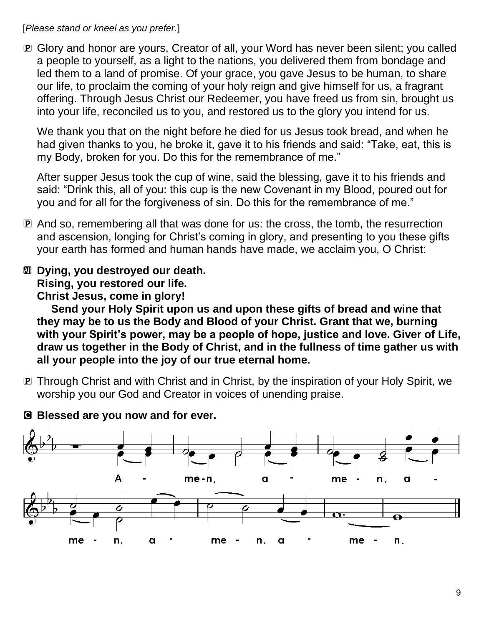#### [*Please stand or kneel as you prefer.*]

P Glory and honor are yours, Creator of all, your Word has never been silent; you called a people to yourself, as a light to the nations, you delivered them from bondage and led them to a land of promise. Of your grace, you gave Jesus to be human, to share our life, to proclaim the coming of your holy reign and give himself for us, a fragrant offering. Through Jesus Christ our Redeemer, you have freed us from sin, brought us into your life, reconciled us to you, and restored us to the glory you intend for us.

We thank you that on the night before he died for us Jesus took bread, and when he had given thanks to you, he broke it, gave it to his friends and said: "Take, eat, this is my Body, broken for you. Do this for the remembrance of me."

After supper Jesus took the cup of wine, said the blessing, gave it to his friends and said: "Drink this, all of you: this cup is the new Covenant in my Blood, poured out for you and for all for the forgiveness of sin. Do this for the remembrance of me."

P And so, remembering all that was done for us: the cross, the tomb, the resurrection and ascension, longing for Christ's coming in glory, and presenting to you these gifts your earth has formed and human hands have made, we acclaim you, O Christ:

# **2** Dying, you destroyed our death. **Rising, you restored our life.**

**Christ Jesus, come in glory!**

**Send your Holy Spirit upon us and upon these gifts of bread and wine that they may be to us the Body and Blood of your Christ. Grant that we, burning with your Spirit's power, may be a people of hope, justice and love. Giver of Life, draw us together in the Body of Christ, and in the fullness of time gather us with all your people into the joy of our true eternal home.**

P Through Christ and with Christ and in Christ, by the inspiration of your Holy Spirit, we worship you our God and Creator in voices of unending praise.



# C **Blessed are you now and for ever.**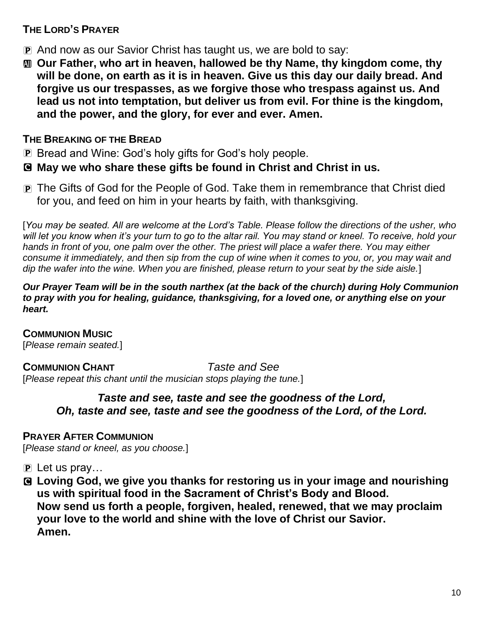# **THE LORD'S PRAYER**

- P And now as our Savior Christ has taught us, we are bold to say:
- $\text{M}$  **Our Father, who art in heaven, hallowed be thy Name, thy kingdom come, thy will be done, on earth as it is in heaven. Give us this day our daily bread. And forgive us our trespasses, as we forgive those who trespass against us. And lead us not into temptation, but deliver us from evil. For thine is the kingdom, and the power, and the glory, for ever and ever. Amen.**

# **THE BREAKING OF THE BREAD**

- P Bread and Wine: God's holy gifts for God's holy people.
- C **May we who share these gifts be found in Christ and Christ in us.**
- P The Gifts of God for the People of God. Take them in remembrance that Christ died for you, and feed on him in your hearts by faith, with thanksgiving.

[*You may be seated. All are welcome at the Lord's Table. Please follow the directions of the usher, who*  will let you know when it's your turn to go to the altar rail. You may stand or kneel. To receive, hold your *hands in front of you, one palm over the other. The priest will place a wafer there. You may either consume it immediately, and then sip from the cup of wine when it comes to you, or, you may wait and dip the wafer into the wine. When you are finished, please return to your seat by the side aisle.*]

#### *Our Prayer Team will be in the south narthex (at the back of the church) during Holy Communion to pray with you for healing, guidance, thanksgiving, for a loved one, or anything else on your heart.*

# **COMMUNION MUSIC**

[*Please remain seated.*]

# **COMMUNION CHANT** *Taste and See*

[*Please repeat this chant until the musician stops playing the tune.*]

# *Taste and see, taste and see the goodness of the Lord, Oh, taste and see, taste and see the goodness of the Lord, of the Lord.*

# **PRAYER AFTER COMMUNION**

[*Please stand or kneel, as you choose.*]

- $\mathbf{P}$  Let us pray...
- C **Loving God, we give you thanks for restoring us in your image and nourishing us with spiritual food in the Sacrament of Christ's Body and Blood. Now send us forth a people, forgiven, healed, renewed, that we may proclaim your love to the world and shine with the love of Christ our Savior. Amen.**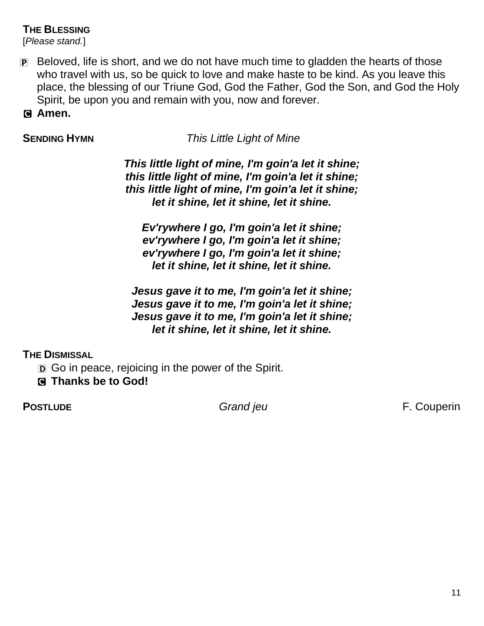#### **THE BLESSING**

[*Please stand.*]

- P Beloved, life is short, and we do not have much time to gladden the hearts of those who travel with us, so be quick to love and make haste to be kind. As you leave this place, the blessing of our Triune God, God the Father, God the Son, and God the Holy Spirit, be upon you and remain with you, now and forever.
- C **Amen.**

**SENDING HYMN** *This Little Light of Mine*

*This little light of mine, I'm goin'a let it shine; this little light of mine, I'm goin'a let it shine; this little light of mine, I'm goin'a let it shine; let it shine, let it shine, let it shine.*

*Ev'rywhere I go, I'm goin'a let it shine; ev'rywhere I go, I'm goin'a let it shine; ev'rywhere I go, I'm goin'a let it shine; let it shine, let it shine, let it shine.*

*Jesus gave it to me, I'm goin'a let it shine; Jesus gave it to me, I'm goin'a let it shine; Jesus gave it to me, I'm goin'a let it shine; let it shine, let it shine, let it shine.*

**THE DISMISSAL** 

D Go in peace, rejoicing in the power of the Spirit.

C **Thanks be to God!**

**POSTLUDE** *Grand jeu* F. Couperin